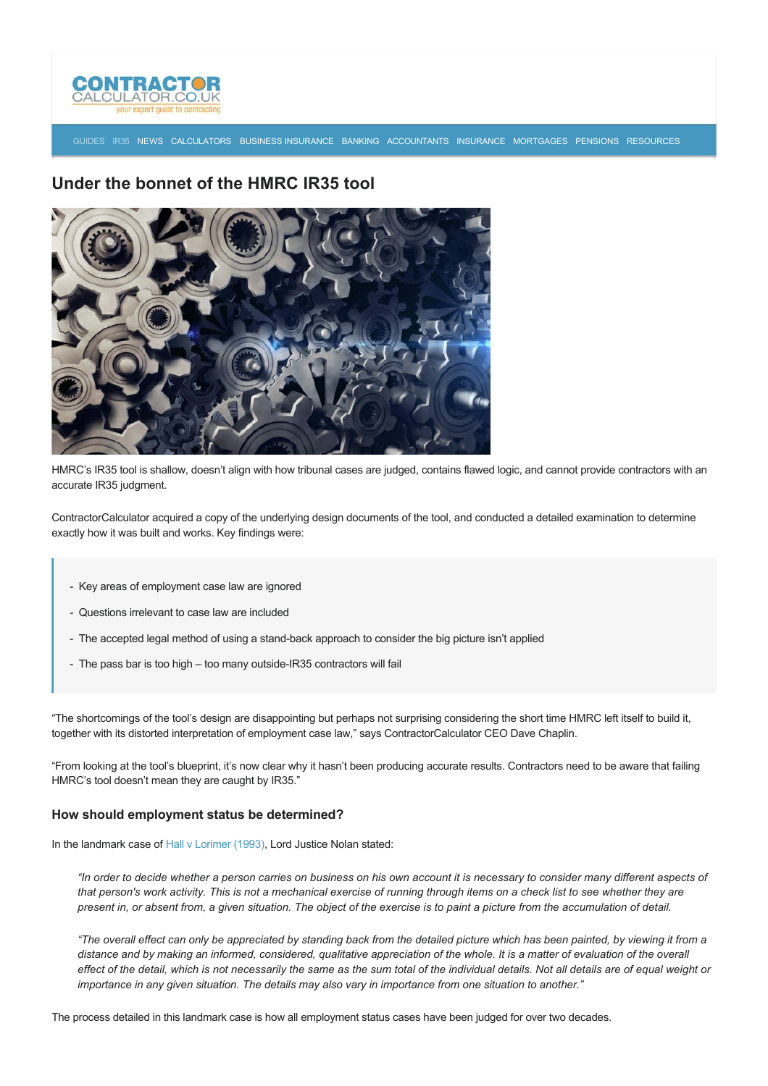

[GUIDES](http://www.contractorcalculator.co.uk/articles.aspx) [IR35](http://www.contractorcalculator.co.uk/ir35.aspx) [NEWS](http://www.contractorcalculator.co.uk/contractor_news.aspx) [CALCULATORS](http://www.contractorcalculator.co.uk/calculators.aspx) [BUSINESS INSURANCE](http://www.contractorcalculator.co.uk/contractor_insurances.aspx) [BANKING](http://www.contractorcalculator.co.uk/contractor_banking.aspx) [ACCOUNTANTS](http://www.contractorcalculator.co.uk/contractor_accountant_services.aspx) [INSURANCE](http://www.contractorcalculator.co.uk/insurance.aspx) [MORTGAGES](http://www.contractorcalculator.co.uk/contractor_mortgages.aspx) [PENSIONS](http://www.contractorcalculator.co.uk/contractor_pensions.aspx) [RESOURCES](http://www.contractorcalculator.co.uk/contractor_resources.aspx)

# **Under the bonnet of the HMRC IR35 tool**



HMRC's IR35 tool is shallow, doesn't align with how tribunal cases are judged, contains flawed logic, and cannot provide contractors with an accurate IR35 judgment.

ContractorCalculator acquired a copy of the underlying design documents of the tool, and conducted a detailed examination to determine exactly how it was built and works. Key findings were:

- Key areas of employment case law are ignored
- Questions irrelevant to case law are included
- The accepted legal method of using a stand-back approach to consider the big picture isn't applied
- The pass bar is too high too many outside-IR35 contractors will fail

"The shortcomings of the tool's design are disappointing but perhaps not surprising considering the short time HMRC left itself to build it, together with its distorted interpretation of employment case law," says ContractorCalculator CEO Dave Chaplin.

"From looking at the tool's blueprint, it's now clear why it hasn't been producing accurate results. Contractors need to be aware that failing HMRC's tool doesn't mean they are caught by IR35."

#### **How should employment status be determined?**

In the landmark case of [Hall v Lorimer \(1993\),](http://www.bailii.org/ew/cases/EWCA/Civ/1993/25.html) Lord Justice Nolan stated:

*"In order to decide whether a person carries on business on his own account it is necessary to consider many different aspects of that person's work activity. This is not a mechanical exercise of running through items on a check list to see whether they are present in, or absent from, a given situation. The object of the exercise is to paint a picture from the accumulation of detail.*

*"The overall effect can only be appreciated by standing back from the detailed picture which has been painted, by viewing it from a distance and by making an informed, considered, qualitative appreciation of the whole. It is a matter of evaluation of the overall effect of the detail, which is not necessarily the same as the sum total of the individual details. Not all details are of equal weight or importance in any given situation. The details may also vary in importance from one situation to another."*

The process detailed in this landmark case is how all employment status cases have been judged for over two decades.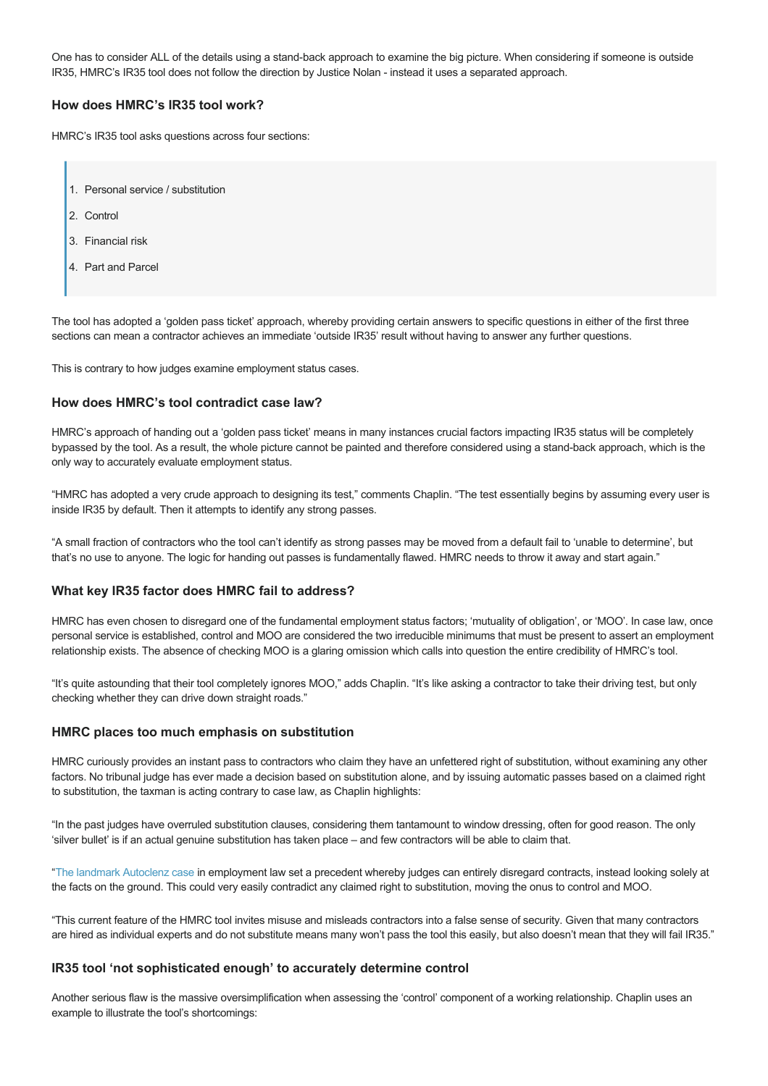One has to consider ALL of the details using a stand-back approach to examine the big picture. When considering if someone is outside IR35, HMRC's IR35 tool does not follow the direction by Justice Nolan - instead it uses a separated approach.

# **How does HMRC's IR35 tool work?**

HMRC's IR35 tool asks questions across four sections:

- 1. Personal service / substitution
- 2. Control
- 3. Financial risk
- 4. Part and Parcel

The tool has adopted a 'golden pass ticket' approach, whereby providing certain answers to specific questions in either of the first three sections can mean a contractor achieves an immediate 'outside IR35' result without having to answer any further questions.

This is contrary to how judges examine employment status cases.

## **How does HMRC's tool contradict case law?**

HMRC's approach of handing out a 'golden pass ticket' means in many instances crucial factors impacting IR35 status will be completely bypassed by the tool. As a result, the whole picture cannot be painted and therefore considered using a stand-back approach, which is the only way to accurately evaluate employment status.

"HMRC has adopted a very crude approach to designing its test," comments Chaplin. "The test essentially begins by assuming every user is inside IR35 by default. Then it attempts to identify any strong passes.

"A small fraction of contractors who the tool can't identify as strong passes may be moved from a default fail to 'unable to determine', but that's no use to anyone. The logic for handing out passes is fundamentally flawed. HMRC needs to throw it away and start again."

## **What key IR35 factor does HMRC fail to address?**

HMRC has even chosen to disregard one of the fundamental employment status factors; 'mutuality of obligation', or 'MOO'. In case law, once personal service is established, control and MOO are considered the two irreducible minimums that must be present to assert an employment relationship exists. The absence of checking MOO is a glaring omission which calls into question the entire credibility of HMRC's tool.

"It's quite astounding that their tool completely ignores MOO," adds Chaplin. "It's like asking a contractor to take their driving test, but only checking whether they can drive down straight roads."

#### **HMRC places too much emphasis on substitution**

HMRC curiously provides an instant pass to contractors who claim they have an unfettered right of substitution, without examining any other factors. No tribunal judge has ever made a decision based on substitution alone, and by issuing automatic passes based on a claimed right to substitution, the taxman is acting contrary to case law, as Chaplin highlights:

"In the past judges have overruled substitution clauses, considering them tantamount to window dressing, often for good reason. The only 'silver bullet' is if an actual genuine substitution has taken place – and few contractors will be able to claim that.

"[The landmark Autoclenz case](http://www.contractorcalculator.co.uk/supreme_court_autoclenz_ruling_sham_contracts_390510_news.aspx) in employment law set a precedent whereby judges can entirely disregard contracts, instead looking solely at the facts on the ground. This could very easily contradict any claimed right to substitution, moving the onus to control and MOO.

"This current feature of the HMRC tool invites misuse and misleads contractors into a false sense of security. Given that many contractors are hired as individual experts and do not substitute means many won't pass the tool this easily, but also doesn't mean that they will fail IR35."

# **IR35 tool 'not sophisticated enough' to accurately determine control**

Another serious flaw is the massive oversimplification when assessing the 'control' component of a working relationship. Chaplin uses an example to illustrate the tool's shortcomings: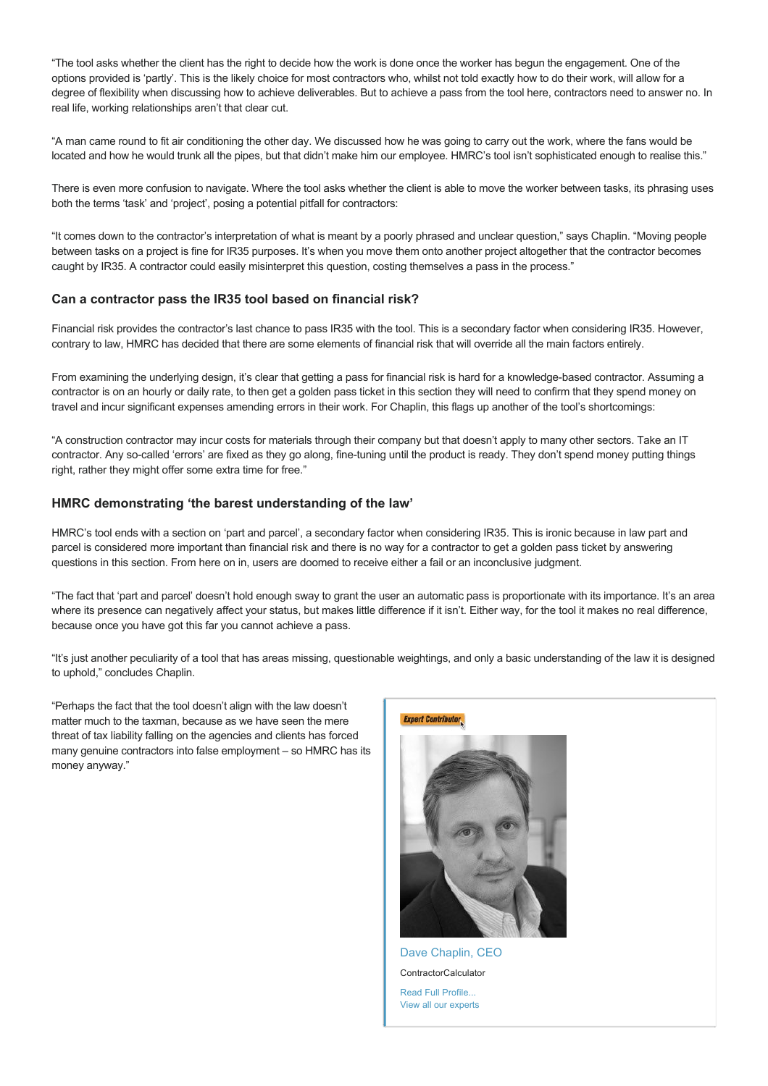"The tool asks whether the client has the right to decide how the work is done once the worker has begun the engagement. One of the options provided is 'partly'. This is the likely choice for most contractors who, whilst not told exactly how to do their work, will allow for a degree of flexibility when discussing how to achieve deliverables. But to achieve a pass from the tool here, contractors need to answer no. In real life, working relationships aren't that clear cut.

"A man came round to fit air conditioning the other day. We discussed how he was going to carry out the work, where the fans would be located and how he would trunk all the pipes, but that didn't make him our employee. HMRC's tool isn't sophisticated enough to realise this."

There is even more confusion to navigate. Where the tool asks whether the client is able to move the worker between tasks, its phrasing uses both the terms 'task' and 'project', posing a potential pitfall for contractors:

"It comes down to the contractor's interpretation of what is meant by a poorly phrased and unclear question," says Chaplin. "Moving people between tasks on a project is fine for IR35 purposes. It's when you move them onto another project altogether that the contractor becomes caught by IR35. A contractor could easily misinterpret this question, costing themselves a pass in the process."

## **Can a contractor pass the IR35 tool based on financial risk?**

Financial risk provides the contractor's last chance to pass IR35 with the tool. This is a secondary factor when considering IR35. However, contrary to law, HMRC has decided that there are some elements of financial risk that will override all the main factors entirely.

From examining the underlying design, it's clear that getting a pass for financial risk is hard for a knowledge-based contractor. Assuming a contractor is on an hourly or daily rate, to then get a golden pass ticket in this section they will need to confirm that they spend money on travel and incur significant expenses amending errors in their work. For Chaplin, this flags up another of the tool's shortcomings:

"A construction contractor may incur costs for materials through their company but that doesn't apply to many other sectors. Take an IT contractor. Any so-called 'errors' are fixed as they go along, fine-tuning until the product is ready. They don't spend money putting things right, rather they might offer some extra time for free."

#### **HMRC demonstrating 'the barest understanding of the law'**

HMRC's tool ends with a section on 'part and parcel', a secondary factor when considering IR35. This is ironic because in law part and parcel is considered more important than financial risk and there is no way for a contractor to get a golden pass ticket by answering questions in this section. From here on in, users are doomed to receive either a fail or an inconclusive judgment.

"The fact that 'part and parcel' doesn't hold enough sway to grant the user an automatic pass is proportionate with its importance. It's an area where its presence can negatively affect your status, but makes little difference if it isn't. Either way, for the tool it makes no real difference, because once you have got this far you cannot achieve a pass.

"It's just another peculiarity of a tool that has areas missing, questionable weightings, and only a basic understanding of the law it is designed to uphold," concludes Chaplin.

"Perhaps the fact that the tool doesn't align with the law doesn't matter much to the taxman, because as we have seen the mere threat of tax liability falling on the agencies and clients has forced many genuine contractors into false employment – so HMRC has its money anyway."



**ContractorCalculator** 

[Read Full Profile...](http://www.contractorcalculator.co.uk/ec_dave_chaplin.aspx) [View all our experts](http://www.contractorcalculator.co.uk/expert_contributors.aspx)